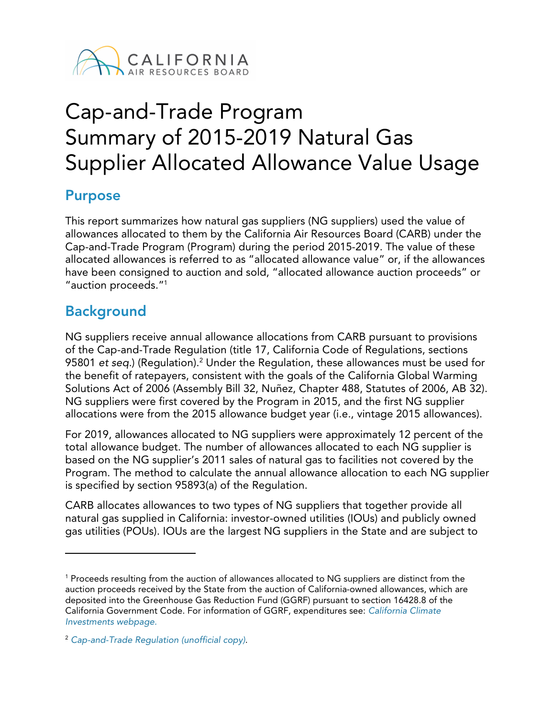

# Cap-and-Trade Program Summary of 2015-2019 Natural Gas Supplier Allocated Allowance Value Usage

# **Purpose**

This report summarizes how natural gas suppliers (NG suppliers) used the value of allowances allocated to them by the California Air Resources Board (CARB) under the Cap-and-Trade Program (Program) during the period 2015-2019. The value of these allocated allowances is referred to as "allocated allowance value" or, if the allowances have been consigned to auction and sold, "allocated allowance auction proceeds" or "auction proceeds."[1](#page-0-0)

# **Background**

 $\overline{a}$ 

NG suppliers receive annual allowance allocations from CARB pursuant to provisions of the Cap-and-Trade Regulation (title 17, California Code of Regulations, sections 95801 *et seq.*) (Regulation).<sup>[2](#page-0-1)</sup> Under the Regulation, these allowances must be used for the benefit of ratepayers, consistent with the goals of the California Global Warming Solutions Act of 2006 (Assembly Bill 32, Nuñez, Chapter 488, Statutes of 2006, AB 32). NG suppliers were first covered by the Program in 2015, and the first NG supplier allocations were from the 2015 allowance budget year (i.e., vintage 2015 allowances).

For 2019, allowances allocated to NG suppliers were approximately 12 percent of the total allowance budget. The number of allowances allocated to each NG supplier is based on the NG supplier's 2011 sales of natural gas to facilities not covered by the Program. The method to calculate the annual allowance allocation to each NG supplier is specified by section 95893(a) of the Regulation.

CARB allocates allowances to two types of NG suppliers that together provide all natural gas supplied in California: investor-owned utilities (IOUs) and publicly owned gas utilities (POUs). IOUs are the largest NG suppliers in the State and are subject to

<span id="page-0-0"></span><sup>1</sup> Proceeds resulting from the auction of allowances allocated to NG suppliers are distinct from the auction proceeds received by the State from the auction of California-owned allowances, which are deposited into the Greenhouse Gas Reduction Fund (GGRF) pursuant to section 16428.8 of the California Government Code. For information of GGRF, expenditures see: *[California Climate](http://www.caclimateinvestments.ca.gov/)  [Investments webpage](http://www.caclimateinvestments.ca.gov/).*

<span id="page-0-1"></span><sup>2</sup> *[Cap-and-Trade Regulation \(unofficial copy\)](https://ww2.arb.ca.gov/sites/default/files/2021-02/ct_reg_unofficial.pdf)*.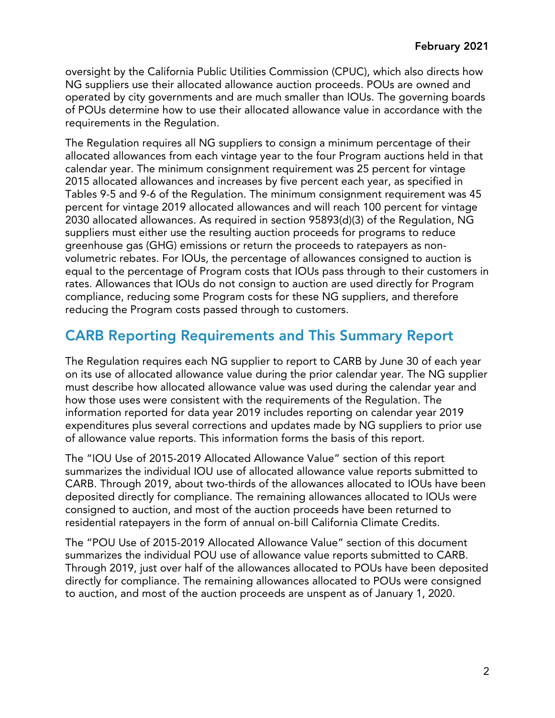oversight by the California Public Utilities Commission (CPUC), which also directs how NG suppliers use their allocated allowance auction proceeds. POUs are owned and operated by city governments and are much smaller than IOUs. The governing boards of POUs determine how to use their allocated allowance value in accordance with the requirements in the Regulation.

The Regulation requires all NG suppliers to consign a minimum percentage of their allocated allowances from each vintage year to the four Program auctions held in that calendar year. The minimum consignment requirement was 25 percent for vintage 2015 allocated allowances and increases by five percent each year, as specified in Tables 9-5 and 9-6 of the Regulation. The minimum consignment requirement was 45 percent for vintage 2019 allocated allowances and will reach 100 percent for vintage 2030 allocated allowances. As required in section 95893(d)(3) of the Regulation, NG suppliers must either use the resulting auction proceeds for programs to reduce greenhouse gas (GHG) emissions or return the proceeds to ratepayers as nonvolumetric rebates. For IOUs, the percentage of allowances consigned to auction is equal to the percentage of Program costs that IOUs pass through to their customers in rates. Allowances that IOUs do not consign to auction are used directly for Program compliance, reducing some Program costs for these NG suppliers, and therefore reducing the Program costs passed through to customers.

# **CARB Reporting Requirements and This Summary Report**

The Regulation requires each NG supplier to report to CARB by June 30 of each year on its use of allocated allowance value during the prior calendar year. The NG supplier must describe how allocated allowance value was used during the calendar year and how those uses were consistent with the requirements of the Regulation. The information reported for data year 2019 includes reporting on calendar year 2019 expenditures plus several corrections and updates made by NG suppliers to prior use of allowance value reports. This information forms the basis of this report.

The "IOU Use of 2015-2019 Allocated Allowance Value" section of this report summarizes the individual IOU use of allocated allowance value reports submitted to CARB. Through 2019, about two-thirds of the allowances allocated to IOUs have been deposited directly for compliance. The remaining allowances allocated to IOUs were consigned to auction, and most of the auction proceeds have been returned to residential ratepayers in the form of annual on-bill California Climate Credits.

The "POU Use of 2015-2019 Allocated Allowance Value" section of this document summarizes the individual POU use of allowance value reports submitted to CARB. Through 2019, just over half of the allowances allocated to POUs have been deposited directly for compliance. The remaining allowances allocated to POUs were consigned to auction, and most of the auction proceeds are unspent as of January 1, 2020.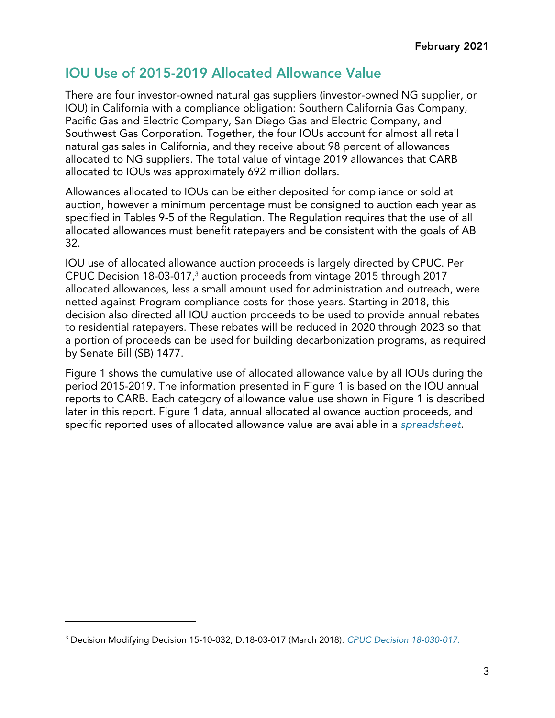# **IOU Use of 2015-2019 Allocated Allowance Value**

There are four investor-owned natural gas suppliers (investor-owned NG supplier, or IOU) in California with a compliance obligation: Southern California Gas Company, Pacific Gas and Electric Company, San Diego Gas and Electric Company, and Southwest Gas Corporation. Together, the four IOUs account for almost all retail natural gas sales in California, and they receive about 98 percent of allowances allocated to NG suppliers. The total value of vintage 2019 allowances that CARB allocated to IOUs was approximately 692 million dollars.

Allowances allocated to IOUs can be either deposited for compliance or sold at auction, however a minimum percentage must be consigned to auction each year as specified in Tables 9-5 of the Regulation. The Regulation requires that the use of all allocated allowances must benefit ratepayers and be consistent with the goals of AB 32.

IOU use of allocated allowance auction proceeds is largely directed by CPUC. Per CPUC Decision 18-03-017,[3](#page-2-0) auction proceeds from vintage 2015 through 2017 allocated allowances, less a small amount used for administration and outreach, were netted against Program compliance costs for those years. Starting in 2018, this decision also directed all IOU auction proceeds to be used to provide annual rebates to residential ratepayers. These rebates will be reduced in 2020 through 2023 so that a portion of proceeds can be used for building decarbonization programs, as required by Senate Bill (SB) 1477.

Figure 1 shows the cumulative use of allocated allowance value by all IOUs during the period 2015-2019. The information presented in Figure 1 is based on the IOU annual reports to CARB. Each category of allowance value use shown in Figure 1 is described later in this report. Figure 1 data, annual allocated allowance auction proceeds, and specific reported uses of allocated allowance value are available in a *[spreadsheet](https://ww3.arb.ca.gov/cc/capandtrade/allowanceallocation/ng_uofavtables.xlsx)*.

 $\overline{a}$ 

<span id="page-2-0"></span><sup>3</sup> Decision Modifying Decision 15-10-032, D.18-03-017 (March 2018). *[CPUC Decision 18-030-017.](http://docs.cpuc.ca.gov/PublishedDocs/Published/G000/M212/K370/212370733.PDF)*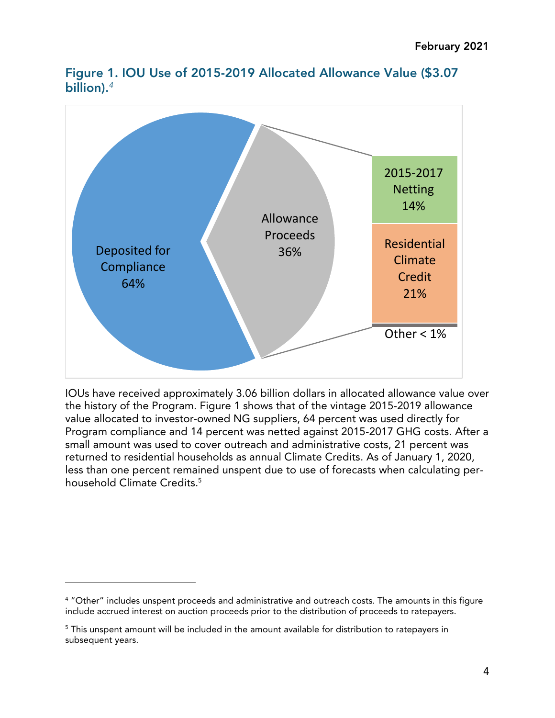

**Figure 1. IOU Use of 2015-2019 Allocated Allowance Value (\$3.07 billion).***[4](#page-3-0)*

IOUs have received approximately 3.06 billion dollars in allocated allowance value over the history of the Program. Figure 1 shows that of the vintage 2015-2019 allowance value allocated to investor-owned NG suppliers, 64 percent was used directly for Program compliance and 14 percent was netted against 2015-2017 GHG costs. After a small amount was used to cover outreach and administrative costs, 21 percent was returned to residential households as annual Climate Credits. As of January 1, 2020, less than one percent remained unspent due to use of forecasts when calculating per-household Climate Credits.<sup>[5](#page-3-1)</sup>

 $\overline{a}$ 

<span id="page-3-0"></span><sup>4</sup> "Other" includes unspent proceeds and administrative and outreach costs. The amounts in this figure include accrued interest on auction proceeds prior to the distribution of proceeds to ratepayers.

<span id="page-3-1"></span><sup>&</sup>lt;sup>5</sup> This unspent amount will be included in the amount available for distribution to ratepayers in subsequent years.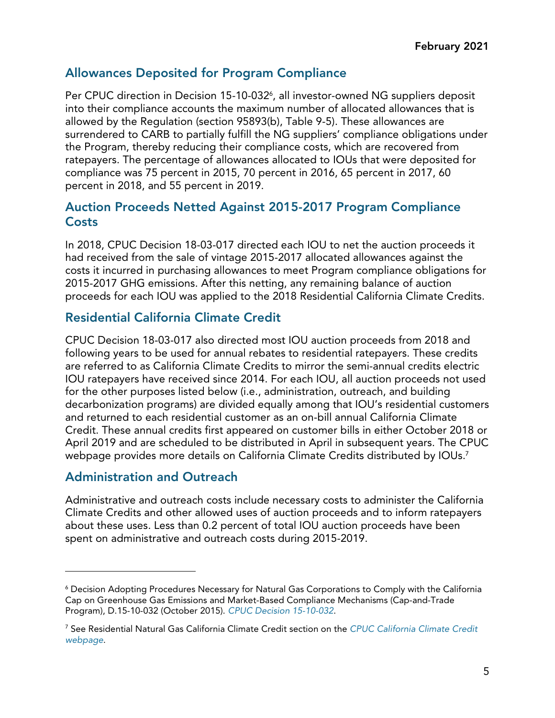## **Allowances Deposited for Program Compliance**

Per CPUC direction in Decision 15-10-032<sup>[6](#page-4-0)</sup>, all investor-owned NG suppliers deposit into their compliance accounts the maximum number of allocated allowances that is allowed by the Regulation (section 95893(b), Table 9-5). These allowances are surrendered to CARB to partially fulfill the NG suppliers' compliance obligations under the Program, thereby reducing their compliance costs, which are recovered from ratepayers. The percentage of allowances allocated to IOUs that were deposited for compliance was 75 percent in 2015, 70 percent in 2016, 65 percent in 2017, 60 percent in 2018, and 55 percent in 2019.

#### **Auction Proceeds Netted Against 2015-2017 Program Compliance Costs**

In 2018, CPUC Decision 18-03-017 directed each IOU to net the auction proceeds it had received from the sale of vintage 2015-2017 allocated allowances against the costs it incurred in purchasing allowances to meet Program compliance obligations for 2015-2017 GHG emissions. After this netting, any remaining balance of auction proceeds for each IOU was applied to the 2018 Residential California Climate Credits.

#### **Residential California Climate Credit**

CPUC Decision 18-03-017 also directed most IOU auction proceeds from 2018 and following years to be used for annual rebates to residential ratepayers. These credits are referred to as California Climate Credits to mirror the semi-annual credits electric IOU ratepayers have received since 2014. For each IOU, all auction proceeds not used for the other purposes listed below (i.e., administration, outreach, and building decarbonization programs) are divided equally among that IOU's residential customers and returned to each residential customer as an on-bill annual California Climate Credit. These annual credits first appeared on customer bills in either October 2018 or April 2019 and are scheduled to be distributed in April in subsequent years. The CPUC webpage provides more details on California Climate Credits distributed by IOUs.<sup>[7](#page-4-1)</sup>

#### **Administration and Outreach**

 $\overline{a}$ 

Administrative and outreach costs include necessary costs to administer the California Climate Credits and other allowed uses of auction proceeds and to inform ratepayers about these uses. Less than 0.2 percent of total IOU auction proceeds have been spent on administrative and outreach costs during 2015-2019.

<span id="page-4-0"></span><sup>6</sup> Decision Adopting Procedures Necessary for Natural Gas Corporations to Comply with the California Cap on Greenhouse Gas Emissions and Market-Based Compliance Mechanisms (Cap-and-Trade Program), D.15-10-032 (October 2015). *[CPUC Decision 15-10-032](http://docs.cpuc.ca.gov/PublishedDocs/Published/G000/M155/K330/155330024.PDF)*.

<span id="page-4-1"></span><sup>7</sup> See Residential Natural Gas California Climate Credit section on the *[CPUC California Climate Credit](http://www.cpuc.ca.gov/ClimateCredit/)  [webpage](http://www.cpuc.ca.gov/ClimateCredit/)*.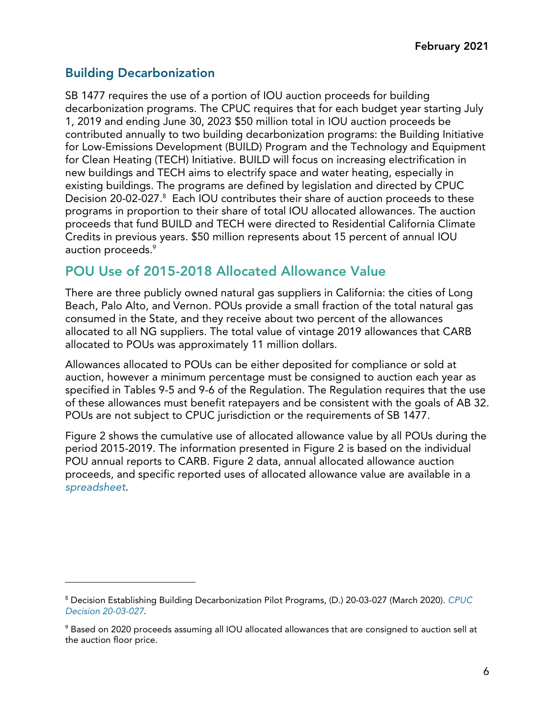## **Building Decarbonization**

 $\overline{a}$ 

SB 1477 requires the use of a portion of IOU auction proceeds for building decarbonization programs. The CPUC requires that for each budget year starting July 1, 2019 and ending June 30, 2023 \$50 million total in IOU auction proceeds be contributed annually to two building decarbonization programs: the Building Initiative for Low-Emissions Development (BUILD) Program and the Technology and Equipment for Clean Heating (TECH) Initiative. BUILD will focus on increasing electrification in new buildings and TECH aims to electrify space and water heating, especially in existing buildings. The programs are defined by legislation and directed by CPUC Decision 20-02-027. [8](#page-5-0) Each IOU contributes their share of auction proceeds to these programs in proportion to their share of total IOU allocated allowances. The auction proceeds that fund BUILD and TECH were directed to Residential California Climate Credits in previous years. \$50 million represents about 15 percent of annual IOU auction proceeds.<sup>[9](#page-5-1)</sup>

## **POU Use of 2015-2018 Allocated Allowance Value**

There are three publicly owned natural gas suppliers in California: the cities of Long Beach, Palo Alto, and Vernon. POUs provide a small fraction of the total natural gas consumed in the State, and they receive about two percent of the allowances allocated to all NG suppliers. The total value of vintage 2019 allowances that CARB allocated to POUs was approximately 11 million dollars.

Allowances allocated to POUs can be either deposited for compliance or sold at auction, however a minimum percentage must be consigned to auction each year as specified in Tables 9-5 and 9-6 of the Regulation. The Regulation requires that the use of these allowances must benefit ratepayers and be consistent with the goals of AB 32. POUs are not subject to CPUC jurisdiction or the requirements of SB 1477.

Figure 2 shows the cumulative use of allocated allowance value by all POUs during the period 2015-2019. The information presented in Figure 2 is based on the individual POU annual reports to CARB. Figure 2 data, annual allocated allowance auction proceeds, and specific reported uses of allocated allowance value are available in a *[spreadsheet](https://ww3.arb.ca.gov/cc/capandtrade/allowanceallocation/ng_uofavtables.xlsx)*.

<span id="page-5-0"></span><sup>8</sup> Decision Establishing Building Decarbonization Pilot Programs, (D.) 20-03-027 (March 2020). *[CPUC](https://docs.cpuc.ca.gov/PublishedDocs/Published/G000/M331/K772/331772660.PDF)  [Decision 20-03-027](https://docs.cpuc.ca.gov/PublishedDocs/Published/G000/M331/K772/331772660.PDF)*.

<span id="page-5-1"></span><sup>9</sup> Based on 2020 proceeds assuming all IOU allocated allowances that are consigned to auction sell at the auction floor price.